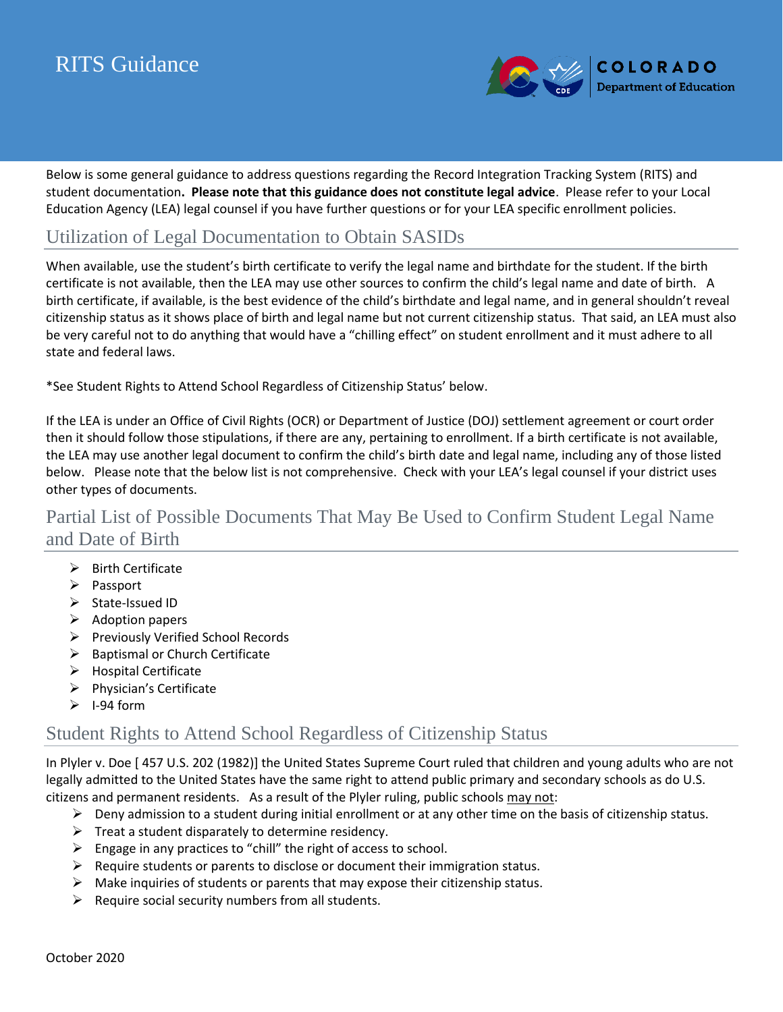# RITS Guidance



Below is some general guidance to address questions regarding the Record Integration Tracking System (RITS) and student documentation**. Please note that this guidance does not constitute legal advice**. Please refer to your Local Education Agency (LEA) legal counsel if you have further questions or for your LEA specific enrollment policies.

## Utilization of Legal Documentation to Obtain SASIDs

When available, use the student's birth certificate to verify the legal name and birthdate for the student. If the birth certificate is not available, then the LEA may use other sources to confirm the child's legal name and date of birth. A birth certificate, if available, is the best evidence of the child's birthdate and legal name, and in general shouldn't reveal citizenship status as it shows place of birth and legal name but not current citizenship status. That said, an LEA must also be very careful not to do anything that would have a "chilling effect" on student enrollment and it must adhere to all state and federal laws.

\*See Student Rights to Attend School Regardless of Citizenship Status' below.

If the LEA is under an Office of Civil Rights (OCR) or Department of Justice (DOJ) settlement agreement or court order then it should follow those stipulations, if there are any, pertaining to enrollment. If a birth certificate is not available, the LEA may use another legal document to confirm the child's birth date and legal name, including any of those listed below. Please note that the below list is not comprehensive. Check with your LEA's legal counsel if your district uses other types of documents.

# Partial List of Possible Documents That May Be Used to Confirm Student Legal Name and Date of Birth

- ➢ Birth Certificate
- ➢ Passport
- ➢ State-Issued ID
- ➢ Adoption papers
- ➢ Previously Verified School Records
- ➢ Baptismal or Church Certificate
- ➢ Hospital Certificate
- ➢ Physician's Certificate
- $\geq$  1-94 form

### Student Rights to Attend School Regardless of Citizenship Status

In Plyler v. Doe [ 457 U.S. 202 (1982)] the United States Supreme Court ruled that children and young adults who are not legally admitted to the United States have the same right to attend public primary and secondary schools as do U.S. citizens and permanent residents. As a result of the Plyler ruling, public schools may not:

- $\triangleright$  Deny admission to a student during initial enrollment or at any other time on the basis of citizenship status.
- $\triangleright$  Treat a student disparately to determine residency.
- $\triangleright$  Engage in any practices to "chill" the right of access to school.
- $\triangleright$  Require students or parents to disclose or document their immigration status.
- $\triangleright$  Make inquiries of students or parents that may expose their citizenship status.
- $\triangleright$  Require social security numbers from all students.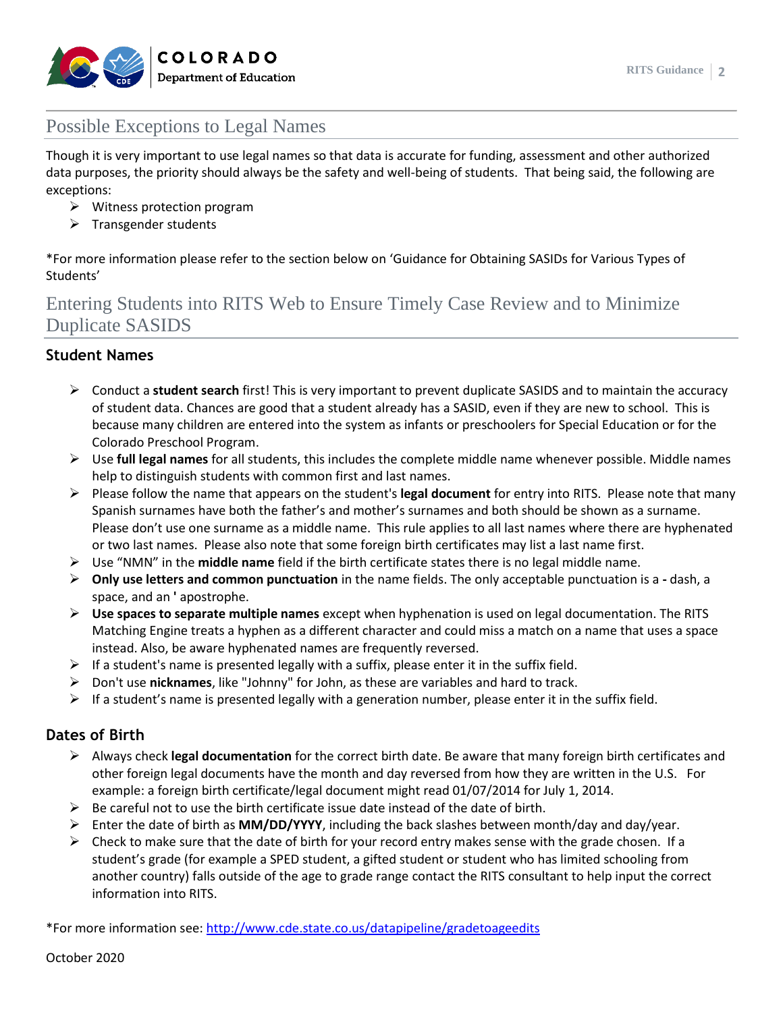

### Possible Exceptions to Legal Names

Though it is very important to use legal names so that data is accurate for funding, assessment and other authorized data purposes, the priority should always be the safety and well-being of students. That being said, the following are exceptions:

- ➢ Witness protection program
- $\triangleright$  Transgender students

\*For more information please refer to the section below on 'Guidance for Obtaining SASIDs for Various Types of Students'

# Entering Students into RITS Web to Ensure Timely Case Review and to Minimize Duplicate SASIDS

### **Student Names**

- ➢ Conduct a **student search** first! This is very important to prevent duplicate SASIDS and to maintain the accuracy of student data. Chances are good that a student already has a SASID, even if they are new to school. This is because many children are entered into the system as infants or preschoolers for Special Education or for the Colorado Preschool Program.
- ➢ Use **full legal names** for all students, this includes the complete middle name whenever possible. Middle names help to distinguish students with common first and last names.
- ➢ Please follow the name that appears on the student's **legal document** for entry into RITS. Please note that many Spanish surnames have both the father's and mother's surnames and both should be shown as a surname. Please don't use one surname as a middle name. This rule applies to all last names where there are hyphenated or two last names. Please also note that some foreign birth certificates may list a last name first.
- ➢ Use "NMN" in the **middle name** field if the birth certificate states there is no legal middle name.
- ➢ **Only use letters and common punctuation** in the name fields. The only acceptable punctuation is a **-** dash, a space, and an **'** apostrophe.
- ➢ **Use spaces to separate multiple names** except when hyphenation is used on legal documentation. The RITS Matching Engine treats a hyphen as a different character and could miss a match on a name that uses a space instead. Also, be aware hyphenated names are frequently reversed.
- $\triangleright$  If a student's name is presented legally with a suffix, please enter it in the suffix field.
- ➢ Don't use **nicknames**, like "Johnny" for John, as these are variables and hard to track.
- $\triangleright$  If a student's name is presented legally with a generation number, please enter it in the suffix field.

### **Dates of Birth**

- ➢ Always check **legal documentation** for the correct birth date. Be aware that many foreign birth certificates and other foreign legal documents have the month and day reversed from how they are written in the U.S. For example: a foreign birth certificate/legal document might read 01/07/2014 for July 1, 2014.
- $\triangleright$  Be careful not to use the birth certificate issue date instead of the date of birth.
- ➢ Enter the date of birth as **MM/DD/YYYY**, including the back slashes between month/day and day/year.
- $\triangleright$  Check to make sure that the date of birth for your record entry makes sense with the grade chosen. If a student's grade (for example a SPED student, a gifted student or student who has limited schooling from another country) falls outside of the age to grade range contact the RITS consultant to help input the correct information into RITS.

\*For more information see:<http://www.cde.state.co.us/datapipeline/gradetoageedits>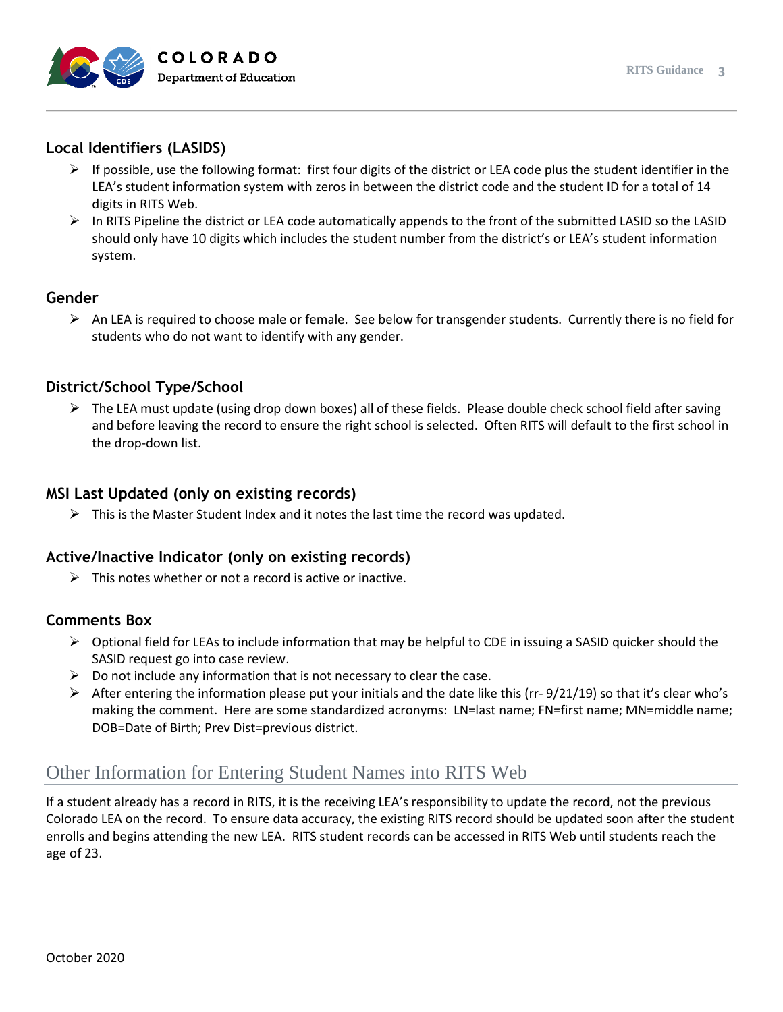



### **Local Identifiers (LASIDS)**

- $\triangleright$  If possible, use the following format: first four digits of the district or LEA code plus the student identifier in the LEA's student information system with zeros in between the district code and the student ID for a total of 14 digits in RITS Web.
- $\triangleright$  In RITS Pipeline the district or LEA code automatically appends to the front of the submitted LASID so the LASID should only have 10 digits which includes the student number from the district's or LEA's student information system.

#### **Gender**

➢ An LEA is required to choose male or female. See below for transgender students. Currently there is no field for students who do not want to identify with any gender.

### **District/School Type/School**

 $\triangleright$  The LEA must update (using drop down boxes) all of these fields. Please double check school field after saving and before leaving the record to ensure the right school is selected. Often RITS will default to the first school in the drop-down list.

### **MSI Last Updated (only on existing records)**

 $\triangleright$  This is the Master Student Index and it notes the last time the record was updated.

### **Active/Inactive Indicator (only on existing records)**

 $\triangleright$  This notes whether or not a record is active or inactive.

### **Comments Box**

- $\triangleright$  Optional field for LEAs to include information that may be helpful to CDE in issuing a SASID quicker should the SASID request go into case review.
- $\triangleright$  Do not include any information that is not necessary to clear the case.
- $\triangleright$  After entering the information please put your initials and the date like this (rr- 9/21/19) so that it's clear who's making the comment. Here are some standardized acronyms: LN=last name; FN=first name; MN=middle name; DOB=Date of Birth; Prev Dist=previous district.

### Other Information for Entering Student Names into RITS Web

If a student already has a record in RITS, it is the receiving LEA's responsibility to update the record, not the previous Colorado LEA on the record. To ensure data accuracy, the existing RITS record should be updated soon after the student enrolls and begins attending the new LEA. RITS student records can be accessed in RITS Web until students reach the age of 23.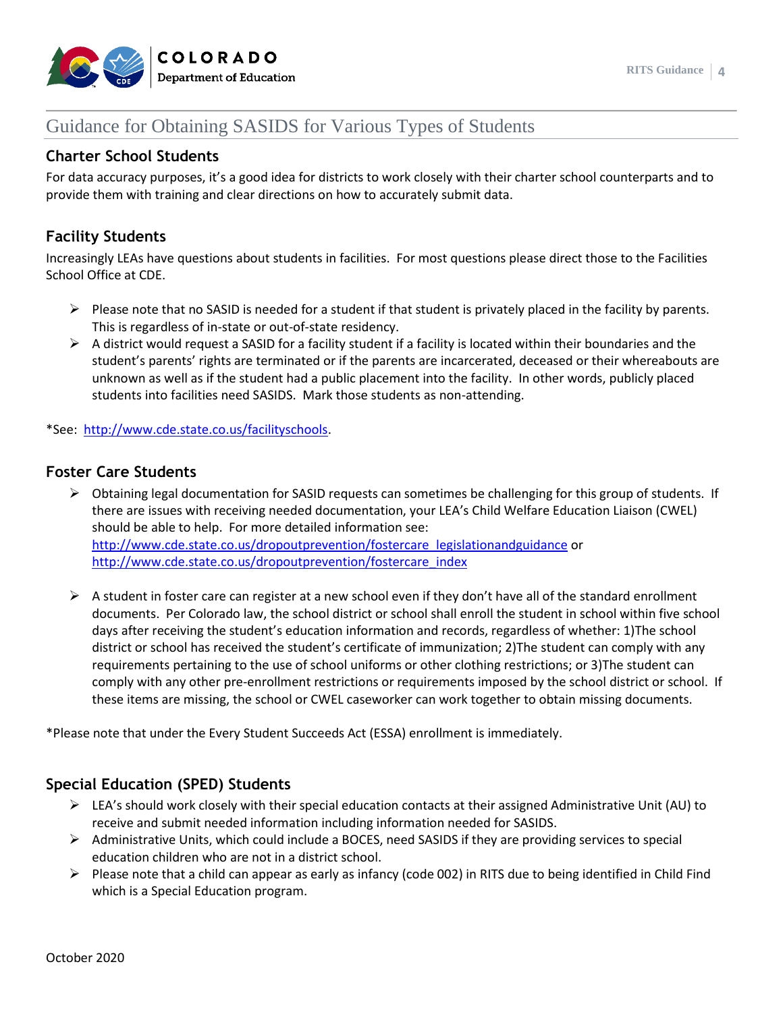

# Guidance for Obtaining SASIDS for Various Types of Students

### **Charter School Students**

For data accuracy purposes, it's a good idea for districts to work closely with their charter school counterparts and to provide them with training and clear directions on how to accurately submit data.

### **Facility Students**

Increasingly LEAs have questions about students in facilities. For most questions please direct those to the Facilities School Office at CDE.

- $\triangleright$  Please note that no SASID is needed for a student if that student is privately placed in the facility by parents. This is regardless of in-state or out-of-state residency.
- $\triangleright$  A district would request a SASID for a facility student if a facility is located within their boundaries and the student's parents' rights are terminated or if the parents are incarcerated, deceased or their whereabouts are unknown as well as if the student had a public placement into the facility. In other words, publicly placed students into facilities need SASIDS. Mark those students as non-attending.

\*See: [http://www.cde.state.co.us/facilityschools.](http://www.cde.state.co.us/facilityschools)

#### **Foster Care Students**

- ➢ Obtaining legal documentation for SASID requests can sometimes be challenging for this group of students. If there are issues with receiving needed documentation, your LEA's Child Welfare Education Liaison (CWEL) should be able to help. For more detailed information see: [http://www.cde.state.co.us/dropoutprevention/fostercare\\_legislationandguidance](http://www.cde.state.co.us/dropoutprevention/fostercare_legislationandguidance) or [http://www.cde.state.co.us/dropoutprevention/fostercare\\_index](http://www.cde.state.co.us/dropoutprevention/fostercare_index)
- $\triangleright$  A student in foster care can register at a new school even if they don't have all of the standard enrollment documents. Per Colorado law, the school district or school shall enroll the student in school within five school days after receiving the student's education information and records, regardless of whether: 1)The school district or school has received the student's certificate of immunization; 2)The student can comply with any requirements pertaining to the use of school uniforms or other clothing restrictions; or 3)The student can comply with any other pre-enrollment restrictions or requirements imposed by the school district or school. If these items are missing, the school or CWEL caseworker can work together to obtain missing documents.

\*Please note that under the Every Student Succeeds Act (ESSA) enrollment is immediately.

### **Special Education (SPED) Students**

- $\triangleright$  LEA's should work closely with their special education contacts at their assigned Administrative Unit (AU) to receive and submit needed information including information needed for SASIDS.
- $\triangleright$  Administrative Units, which could include a BOCES, need SASIDS if they are providing services to special education children who are not in a district school.
- ➢ Please note that a child can appear as early as infancy (code 002) in RITS due to being identified in Child Find which is a Special Education program.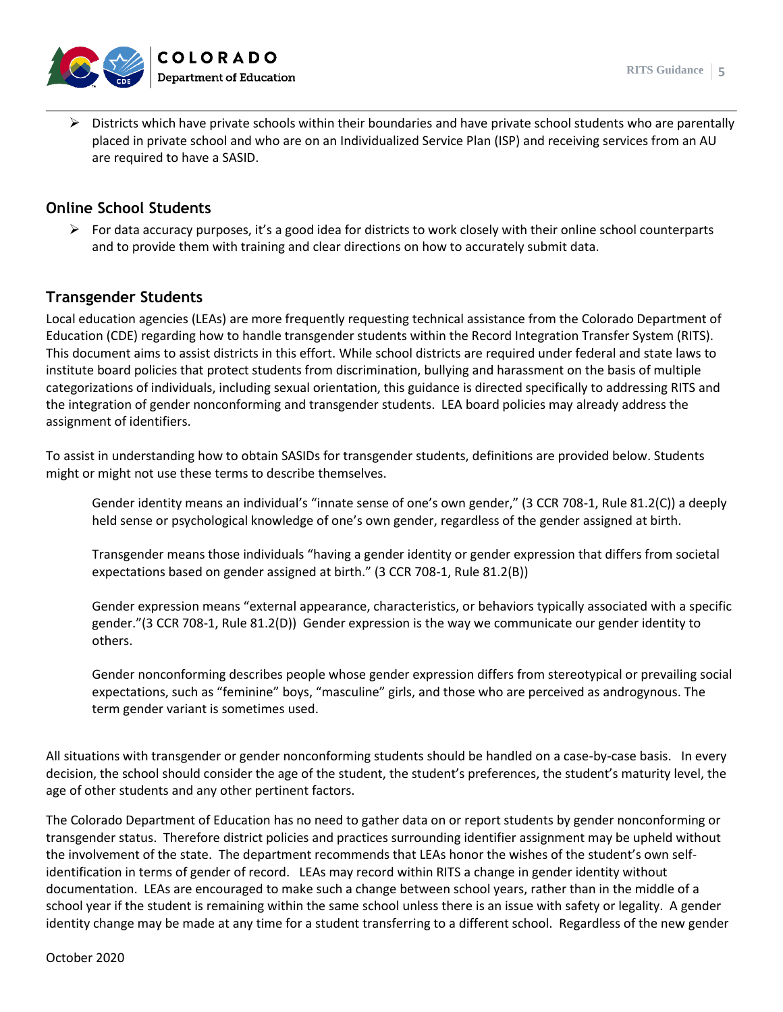

➢ Districts which have private schools within their boundaries and have private school students who are parentally placed in private school and who are on an Individualized Service Plan (ISP) and receiving services from an AU are required to have a SASID.

#### **Online School Students**

 $\triangleright$  For data accuracy purposes, it's a good idea for districts to work closely with their online school counterparts and to provide them with training and clear directions on how to accurately submit data.

#### **Transgender Students**

Local education agencies (LEAs) are more frequently requesting technical assistance from the Colorado Department of Education (CDE) regarding how to handle transgender students within the Record Integration Transfer System (RITS). This document aims to assist districts in this effort. While school districts are required under federal and state laws to institute board policies that protect students from discrimination, bullying and harassment on the basis of multiple categorizations of individuals, including sexual orientation, this guidance is directed specifically to addressing RITS and the integration of gender nonconforming and transgender students. LEA board policies may already address the assignment of identifiers.

To assist in understanding how to obtain SASIDs for transgender students, definitions are provided below. Students might or might not use these terms to describe themselves.

Gender identity means an individual's "innate sense of one's own gender," (3 CCR 708-1, Rule 81.2(C)) a deeply held sense or psychological knowledge of one's own gender, regardless of the gender assigned at birth.

Transgender means those individuals "having a gender identity or gender expression that differs from societal expectations based on gender assigned at birth." (3 CCR 708-1, Rule 81.2(B))

Gender expression means "external appearance, characteristics, or behaviors typically associated with a specific gender."(3 CCR 708-1, Rule 81.2(D)) Gender expression is the way we communicate our gender identity to others.

Gender nonconforming describes people whose gender expression differs from stereotypical or prevailing social expectations, such as "feminine" boys, "masculine" girls, and those who are perceived as androgynous. The term gender variant is sometimes used.

All situations with transgender or gender nonconforming students should be handled on a case-by-case basis. In every decision, the school should consider the age of the student, the student's preferences, the student's maturity level, the age of other students and any other pertinent factors.

The Colorado Department of Education has no need to gather data on or report students by gender nonconforming or transgender status. Therefore district policies and practices surrounding identifier assignment may be upheld without the involvement of the state. The department recommends that LEAs honor the wishes of the student's own selfidentification in terms of gender of record. LEAs may record within RITS a change in gender identity without documentation. LEAs are encouraged to make such a change between school years, rather than in the middle of a school year if the student is remaining within the same school unless there is an issue with safety or legality. A gender identity change may be made at any time for a student transferring to a different school. Regardless of the new gender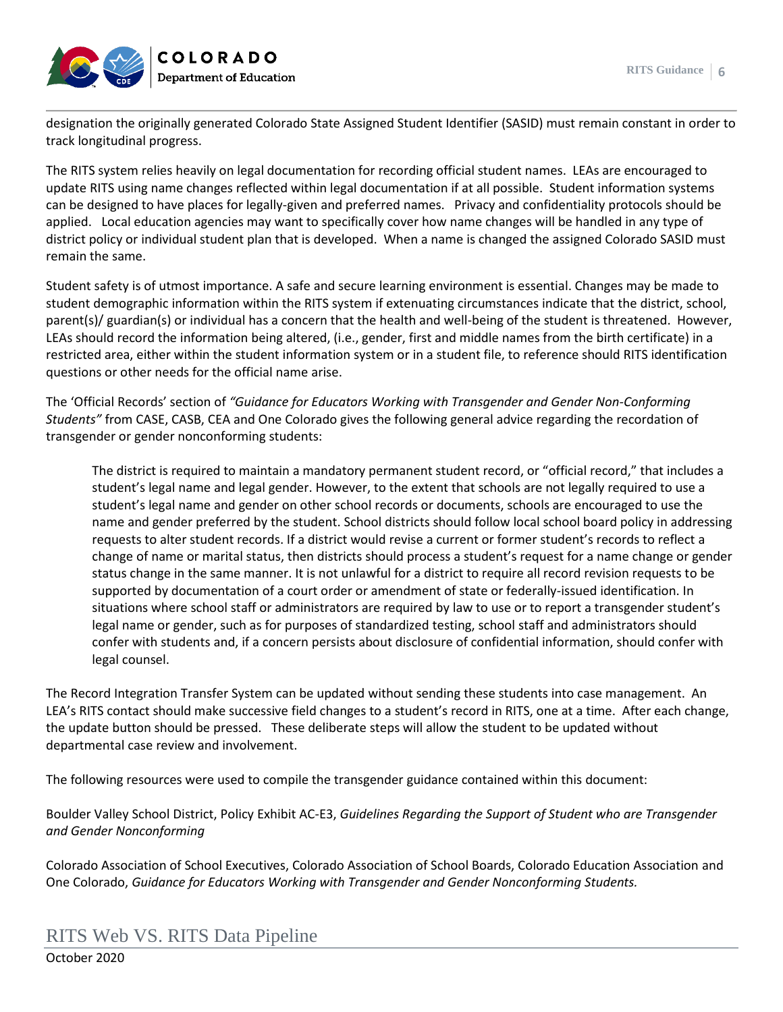

designation the originally generated Colorado State Assigned Student Identifier (SASID) must remain constant in order to track longitudinal progress.

The RITS system relies heavily on legal documentation for recording official student names. LEAs are encouraged to update RITS using name changes reflected within legal documentation if at all possible. Student information systems can be designed to have places for legally-given and preferred names. Privacy and confidentiality protocols should be applied. Local education agencies may want to specifically cover how name changes will be handled in any type of district policy or individual student plan that is developed. When a name is changed the assigned Colorado SASID must remain the same.

Student safety is of utmost importance. A safe and secure learning environment is essential. Changes may be made to student demographic information within the RITS system if extenuating circumstances indicate that the district, school, parent(s)/ guardian(s) or individual has a concern that the health and well-being of the student is threatened. However, LEAs should record the information being altered, (i.e., gender, first and middle names from the birth certificate) in a restricted area, either within the student information system or in a student file, to reference should RITS identification questions or other needs for the official name arise.

The 'Official Records' section of *"Guidance for Educators Working with Transgender and Gender Non-Conforming Students"* from CASE, CASB, CEA and One Colorado gives the following general advice regarding the recordation of transgender or gender nonconforming students:

The district is required to maintain a mandatory permanent student record, or "official record," that includes a student's legal name and legal gender. However, to the extent that schools are not legally required to use a student's legal name and gender on other school records or documents, schools are encouraged to use the name and gender preferred by the student. School districts should follow local school board policy in addressing requests to alter student records. If a district would revise a current or former student's records to reflect a change of name or marital status, then districts should process a student's request for a name change or gender status change in the same manner. It is not unlawful for a district to require all record revision requests to be supported by documentation of a court order or amendment of state or federally-issued identification. In situations where school staff or administrators are required by law to use or to report a transgender student's legal name or gender, such as for purposes of standardized testing, school staff and administrators should confer with students and, if a concern persists about disclosure of confidential information, should confer with legal counsel.

The Record Integration Transfer System can be updated without sending these students into case management. An LEA's RITS contact should make successive field changes to a student's record in RITS, one at a time. After each change, the update button should be pressed. These deliberate steps will allow the student to be updated without departmental case review and involvement.

The following resources were used to compile the transgender guidance contained within this document:

Boulder Valley School District, Policy Exhibit AC-E3, *Guidelines Regarding the Support of Student who are Transgender and Gender Nonconforming*

Colorado Association of School Executives, Colorado Association of School Boards, Colorado Education Association and One Colorado, *Guidance for Educators Working with Transgender and Gender Nonconforming Students.* 

### RITS Web VS. RITS Data Pipeline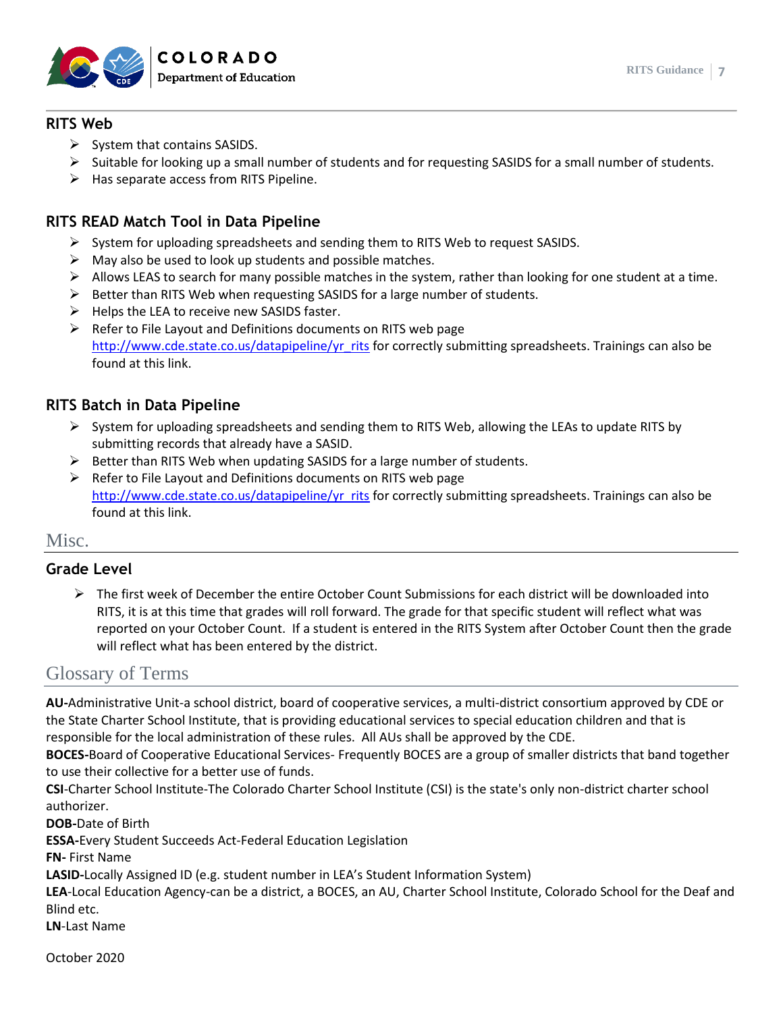

### **RITS Web**

- $\triangleright$  System that contains SASIDS.
- $\triangleright$  Suitable for looking up a small number of students and for requesting SASIDS for a small number of students.
- $\triangleright$  Has separate access from RITS Pipeline.

### **RITS READ Match Tool in Data Pipeline**

- $\triangleright$  System for uploading spreadsheets and sending them to RITS Web to request SASIDS.
- $\triangleright$  May also be used to look up students and possible matches.
- $\triangleright$  Allows LEAS to search for many possible matches in the system, rather than looking for one student at a time.
- ➢ Better than RITS Web when requesting SASIDS for a large number of students.
- $\triangleright$  Helps the LEA to receive new SASIDS faster.
- $\triangleright$  Refer to File Layout and Definitions documents on RITS web page [http://www.cde.state.co.us/datapipeline/yr\\_rits](http://www.cde.state.co.us/datapipeline/yr_rits) for correctly submitting spreadsheets. Trainings can also be found at this link.

### **RITS Batch in Data Pipeline**

- $\triangleright$  System for uploading spreadsheets and sending them to RITS Web, allowing the LEAs to update RITS by submitting records that already have a SASID.
- $\triangleright$  Better than RITS Web when updating SASIDS for a large number of students.
- ➢ Refer to File Layout and Definitions documents on RITS web page [http://www.cde.state.co.us/datapipeline/yr\\_rits](http://www.cde.state.co.us/datapipeline/yr_rits) for correctly submitting spreadsheets. Trainings can also be found at this link.

### Misc.

### **Grade Level**

 $\triangleright$  The first week of December the entire October Count Submissions for each district will be downloaded into RITS, it is at this time that grades will roll forward. The grade for that specific student will reflect what was reported on your October Count. If a student is entered in the RITS System after October Count then the grade will reflect what has been entered by the district.

### Glossary of Terms

**AU-**Administrative Unit-a school district, board of cooperative services, a multi-district consortium approved by CDE or the State Charter School Institute, that is providing educational services to special education children and that is responsible for the local administration of these rules. All AUs shall be approved by the CDE.

**BOCES-**Board of Cooperative Educational Services- Frequently BOCES are a group of smaller districts that band together to use their collective for a better use of funds.

**CSI**-Charter School Institute-The Colorado Charter School Institute (CSI) is the state's only non-district charter school authorizer.

**DOB-**Date of Birth

**ESSA-**Every Student Succeeds Act-Federal Education Legislation

**FN-** First Name

**LASID-**Locally Assigned ID (e.g. student number in LEA's Student Information System)

**LEA**-Local Education Agency-can be a district, a BOCES, an AU, Charter School Institute, Colorado School for the Deaf and Blind etc.

**LN**-Last Name

October 2020